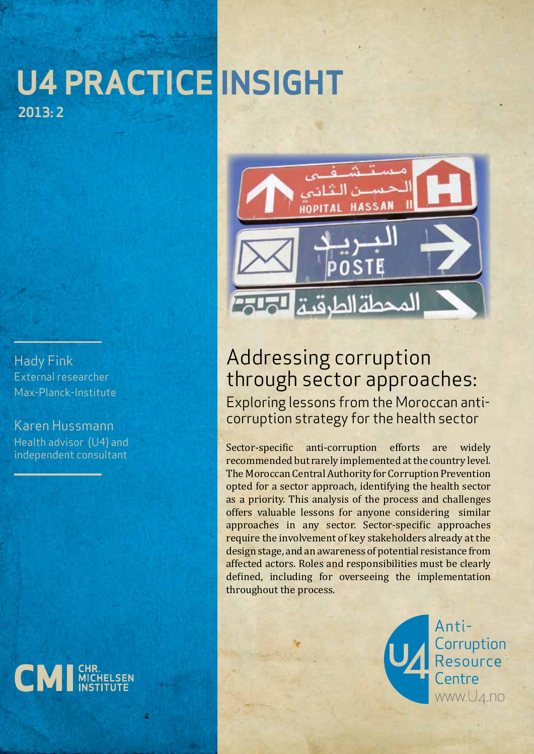# **U4 PRACTICE insight2013: 2**

Hady Fink External researcher Max-Planck-Institute

Karen Hussmann Health advisor (U4) and





## Addressing corruption through sector approaches:

Exploring lessons from the Moroccan anticorruption strategy for the health sector

 $\begin{array}{c} \text{Sector-specific} \\ \text{independent consultant} \end{array}$  Sector-specific anti-corruption efforts are widely recommended but rarely implemented at the country level. The Moroccan Central Authority for Corruption Prevention opted for a sector approach, identifying the health sector as a priority. This analysis of the process and challenges offers valuable lessons for anyone considering similar approaches in any sector. Sector-specific approaches require the involvement of key stakeholders already at the design stage, and an awareness of potential resistance from affected actors. Roles and responsibilities must be clearly defined, including for overseeing the implementation throughout the process.

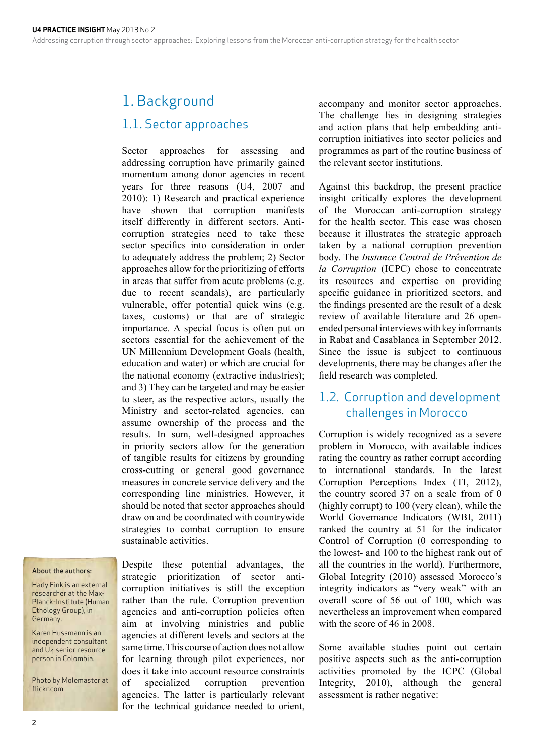## 1. Background

#### 1.1. Sector approaches

Sector approaches for assessing and addressing corruption have primarily gained momentum among donor agencies in recent years for three reasons (U4, 2007 and 2010): 1) Research and practical experience have shown that corruption manifests itself differently in different sectors. Anticorruption strategies need to take these sector specifics into consideration in order to adequately address the problem; 2) Sector approaches allow for the prioritizing of efforts in areas that suffer from acute problems (e.g. due to recent scandals), are particularly vulnerable, offer potential quick wins (e.g. taxes, customs) or that are of strategic importance. A special focus is often put on sectors essential for the achievement of the UN Millennium Development Goals (health, education and water) or which are crucial for the national economy (extractive industries); and 3) They can be targeted and may be easier to steer, as the respective actors, usually the Ministry and sector-related agencies, can assume ownership of the process and the results. In sum, well-designed approaches in priority sectors allow for the generation of tangible results for citizens by grounding cross-cutting or general good governance measures in concrete service delivery and the corresponding line ministries. However, it should be noted that sector approaches should draw on and be coordinated with countrywide strategies to combat corruption to ensure sustainable activities.

#### About the authors:

Hady Fink is an external researcher at the Max-Planck-Institute (Human Ethology Group), in Germany.

Karen Hussmann is an independent consultant and U4 senior resource person in Colombia.

Photo by Molemaster at flickr<sub>com</sub>

Despite these potential advantages, the strategic prioritization of sector anticorruption initiatives is still the exception rather than the rule. Corruption prevention agencies and anti-corruption policies often aim at involving ministries and public agencies at different levels and sectors at the same time. This course of action does not allow for learning through pilot experiences, nor does it take into account resource constraints of specialized corruption prevention agencies. The latter is particularly relevant for the technical guidance needed to orient, accompany and monitor sector approaches. The challenge lies in designing strategies and action plans that help embedding anticorruption initiatives into sector policies and programmes as part of the routine business of the relevant sector institutions.

Against this backdrop, the present practice insight critically explores the development of the Moroccan anti-corruption strategy for the health sector. This case was chosen because it illustrates the strategic approach taken by a national corruption prevention body. The *Instance Central de Prévention de la Corruption* (ICPC) chose to concentrate its resources and expertise on providing specific guidance in prioritized sectors, and the findings presented are the result of a desk review of available literature and 26 openended personal interviews with key informants in Rabat and Casablanca in September 2012. Since the issue is subject to continuous developments, there may be changes after the field research was completed.

#### 1.2. Corruption and development challenges in Morocco

Corruption is widely recognized as a severe problem in Morocco, with available indices rating the country as rather corrupt according to international standards. In the latest Corruption Perceptions Index (TI, 2012), the country scored 37 on a scale from of 0 (highly corrupt) to 100 (very clean), while the World Governance Indicators (WBI, 2011) ranked the country at 51 for the indicator Control of Corruption (0 corresponding to the lowest- and 100 to the highest rank out of all the countries in the world). Furthermore, Global Integrity (2010) assessed Morocco's integrity indicators as "very weak" with an overall score of 56 out of 100, which was nevertheless an improvement when compared with the score of 46 in 2008.

Some available studies point out certain positive aspects such as the anti-corruption activities promoted by the ICPC (Global Integrity, 2010), although the general assessment is rather negative: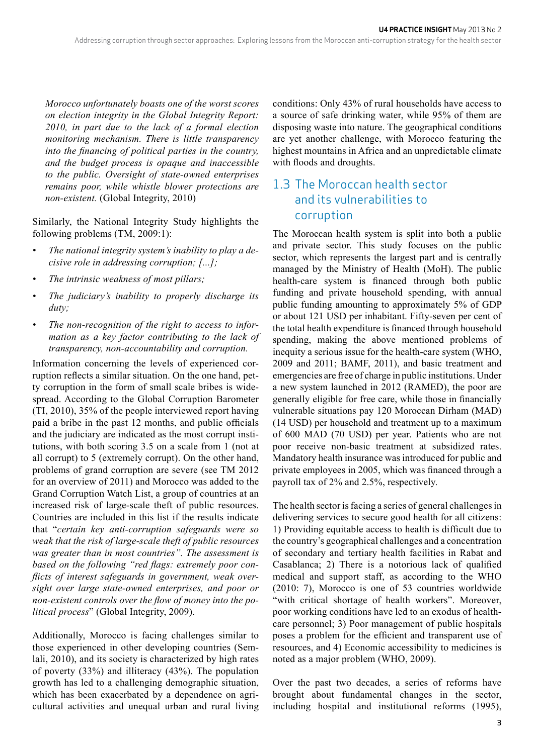*Morocco unfortunately boasts one of the worst scores on election integrity in the Global Integrity Report: 2010, in part due to the lack of a formal election monitoring mechanism. There is little transparency into the financing of political parties in the country, and the budget process is opaque and inaccessible to the public. Oversight of state-owned enterprises remains poor, while whistle blower protections are non-existent.* (Global Integrity, 2010)

Similarly, the National Integrity Study highlights the following problems (TM, 2009:1):

- *• The national integrity system's inability to play a decisive role in addressing corruption; [...];*
- *• The intrinsic weakness of most pillars;*
- *• The judiciary's inability to properly discharge its duty;*
- *• The non-recognition of the right to access to information as a key factor contributing to the lack of transparency, non-accountability and corruption.*

Information concerning the levels of experienced corruption reflects a similar situation. On the one hand, petty corruption in the form of small scale bribes is widespread. According to the Global Corruption Barometer (TI, 2010), 35% of the people interviewed report having paid a bribe in the past 12 months, and public officials and the judiciary are indicated as the most corrupt institutions, with both scoring 3.5 on a scale from 1 (not at all corrupt) to 5 (extremely corrupt). On the other hand, problems of grand corruption are severe (see TM 2012 for an overview of 2011) and Morocco was added to the Grand Corruption Watch List, a group of countries at an increased risk of large-scale theft of public resources. Countries are included in this list if the results indicate that "*certain key anti-corruption safeguards were so weak that the risk of large-scale theft of public resources was greater than in most countries". The assessment is based on the following "red flags: extremely poor conflicts of interest safeguards in government, weak oversight over large state-owned enterprises, and poor or non-existent controls over the flow of money into the political process*" (Global Integrity, 2009).

Additionally, Morocco is facing challenges similar to those experienced in other developing countries (Semlali, 2010), and its society is characterized by high rates of poverty (33%) and illiteracy (43%). The population growth has led to a challenging demographic situation, which has been exacerbated by a dependence on agricultural activities and unequal urban and rural living

conditions: Only 43% of rural households have access to a source of safe drinking water, while 95% of them are disposing waste into nature. The geographical conditions are yet another challenge, with Morocco featuring the highest mountains in Africa and an unpredictable climate with floods and droughts.

## 1.3 The Moroccan health sector and its vulnerabilities to corruption

The Moroccan health system is split into both a public and private sector. This study focuses on the public sector, which represents the largest part and is centrally managed by the Ministry of Health (MoH). The public health-care system is financed through both public funding and private household spending, with annual public funding amounting to approximately 5% of GDP or about 121 USD per inhabitant. Fifty-seven per cent of the total health expenditure is financed through household spending, making the above mentioned problems of inequity a serious issue for the health-care system (WHO, 2009 and 2011; BAMF, 2011), and basic treatment and emergencies are free of charge in public institutions. Under a new system launched in 2012 (RAMED), the poor are generally eligible for free care, while those in financially vulnerable situations pay 120 Moroccan Dirham (MAD) (14 USD) per household and treatment up to a maximum of 600 MAD (70 USD) per year. Patients who are not poor receive non-basic treatment at subsidized rates. Mandatory health insurance was introduced for public and private employees in 2005, which was financed through a payroll tax of 2% and 2.5%, respectively.

The health sector is facing a series of general challenges in delivering services to secure good health for all citizens: 1) Providing equitable access to health is difficult due to the country's geographical challenges and a concentration of secondary and tertiary health facilities in Rabat and Casablanca; 2) There is a notorious lack of qualified medical and support staff, as according to the WHO (2010: 7), Morocco is one of 53 countries worldwide "with critical shortage of health workers". Moreover, poor working conditions have led to an exodus of healthcare personnel; 3) Poor management of public hospitals poses a problem for the efficient and transparent use of resources, and 4) Economic accessibility to medicines is noted as a major problem (WHO, 2009).

Over the past two decades, a series of reforms have brought about fundamental changes in the sector, including hospital and institutional reforms (1995),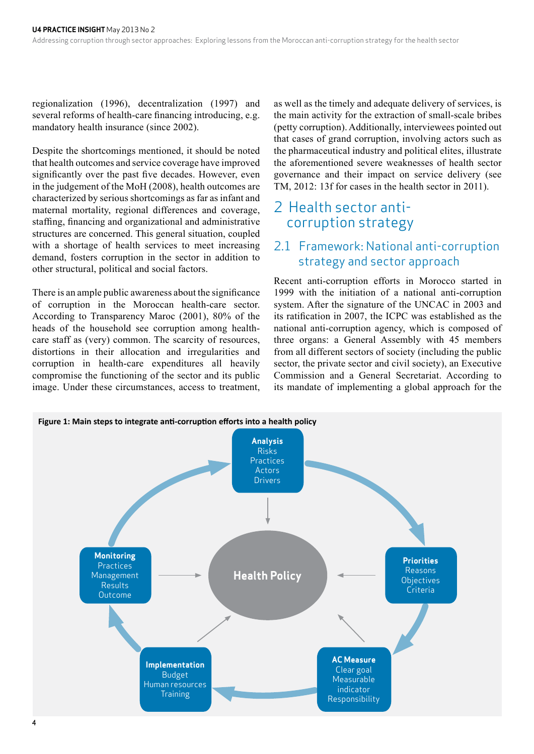regionalization (1996), decentralization (1997) and several reforms of health-care financing introducing, e.g. mandatory health insurance (since 2002).

Despite the shortcomings mentioned, it should be noted that health outcomes and service coverage have improved significantly over the past five decades. However, even in the judgement of the MoH (2008), health outcomes are characterized by serious shortcomings as far as infant and maternal mortality, regional differences and coverage, staffing, financing and organizational and administrative structures are concerned. This general situation, coupled with a shortage of health services to meet increasing demand, fosters corruption in the sector in addition to other structural, political and social factors.

There is an ample public awareness about the significance of corruption in the Moroccan health-care sector. According to Transparency Maroc (2001), 80% of the heads of the household see corruption among healthcare staff as (very) common. The scarcity of resources, distortions in their allocation and irregularities and corruption in health-care expenditures all heavily compromise the functioning of the sector and its public image. Under these circumstances, access to treatment, as well as the timely and adequate delivery of services, is the main activity for the extraction of small-scale bribes (petty corruption). Additionally, interviewees pointed out that cases of grand corruption, involving actors such as the pharmaceutical industry and political elites, illustrate the aforementioned severe weaknesses of health sector governance and their impact on service delivery (see TM, 2012: 13f for cases in the health sector in 2011).

## 2 Health sector anticorruption strategy

## 2.1 Framework: National anti-corruption strategy and sector approach

Recent anti-corruption efforts in Morocco started in 1999 with the initiation of a national anti-corruption system. After the signature of the UNCAC in 2003 and its ratification in 2007, the ICPC was established as the national anti-corruption agency, which is composed of three organs: a General Assembly with 45 members from all different sectors of society (including the public sector, the private sector and civil society), an Executive Commission and a General Secretariat. According to its mandate of implementing a global approach for the

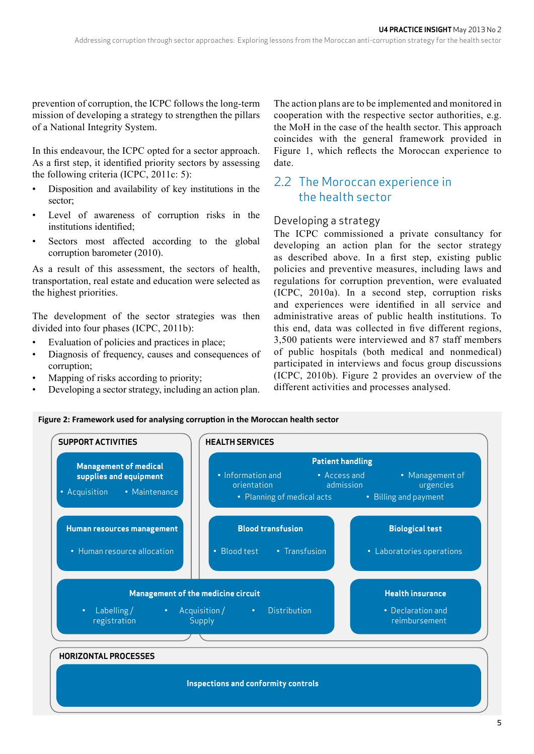prevention of corruption, the ICPC follows the long-term mission of developing a strategy to strengthen the pillars of a National Integrity System.

In this endeavour, the ICPC opted for a sector approach. As a first step, it identified priority sectors by assessing the following criteria (ICPC, 2011c: 5):

- Disposition and availability of key institutions in the sector;
- Level of awareness of corruption risks in the institutions identified;
- Sectors most affected according to the global corruption barometer (2010).

As a result of this assessment, the sectors of health, transportation, real estate and education were selected as the highest priorities.

The development of the sector strategies was then divided into four phases (ICPC, 2011b):

- Evaluation of policies and practices in place;
- Diagnosis of frequency, causes and consequences of corruption;
- Mapping of risks according to priority;
- Developing a sector strategy, including an action plan.

The action plans are to be implemented and monitored in cooperation with the respective sector authorities, e.g. the MoH in the case of the health sector. This approach coincides with the general framework provided in Figure 1, which reflects the Moroccan experience to date.

## 2.2 The Moroccan experience in the health sector

#### Developing a strategy

The ICPC commissioned a private consultancy for developing an action plan for the sector strategy as described above. In a first step, existing public policies and preventive measures, including laws and regulations for corruption prevention, were evaluated (ICPC, 2010a). In a second step, corruption risks and experiences were identified in all service and administrative areas of public health institutions. To this end, data was collected in five different regions, 3,500 patients were interviewed and 87 staff members of public hospitals (both medical and nonmedical) participated in interviews and focus group discussions (ICPC, 2010b). Figure 2 provides an overview of the different activities and processes analysed.

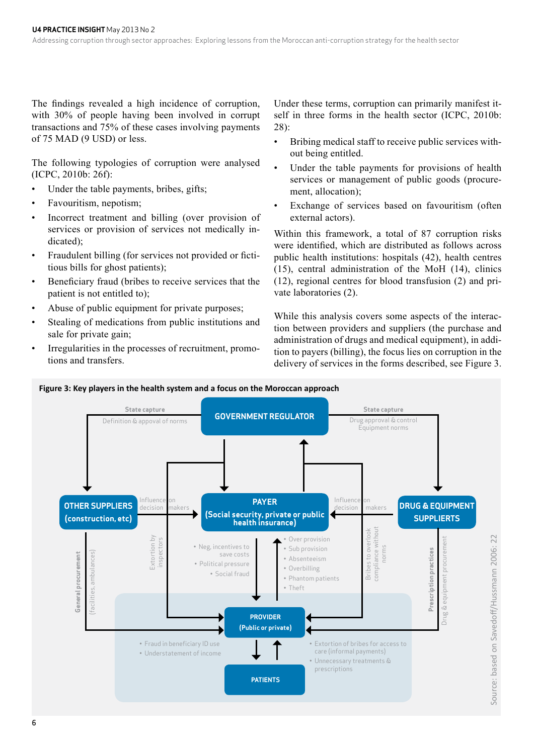The findings revealed a high incidence of corruption, with 30% of people having been involved in corrupt transactions and 75% of these cases involving payments of 75 MAD (9 USD) or less.

The following typologies of corruption were analysed (ICPC, 2010b: 26f):

- Under the table payments, bribes, gifts;
- Favouritism, nepotism;
- Incorrect treatment and billing (over provision of services or provision of services not medically indicated);
- Fraudulent billing (for services not provided or fictitious bills for ghost patients);
- Beneficiary fraud (bribes to receive services that the patient is not entitled to);
- Abuse of public equipment for private purposes;
- Stealing of medications from public institutions and sale for private gain;
- Irregularities in the processes of recruitment, promotions and transfers.

Under these terms, corruption can primarily manifest itself in three forms in the health sector (ICPC, 2010b: 28):

- Bribing medical staff to receive public services without being entitled.
- Under the table payments for provisions of health services or management of public goods (procurement, allocation);
- Exchange of services based on favouritism (often external actors).

Within this framework, a total of 87 corruption risks were identified, which are distributed as follows across public health institutions: hospitals (42), health centres (15), central administration of the MoH (14), clinics (12), regional centres for blood transfusion (2) and private laboratories (2).

While this analysis covers some aspects of the interaction between providers and suppliers (the purchase and administration of drugs and medical equipment), in addition to payers (billing), the focus lies on corruption in the delivery of services in the forms described, see Figure 3.

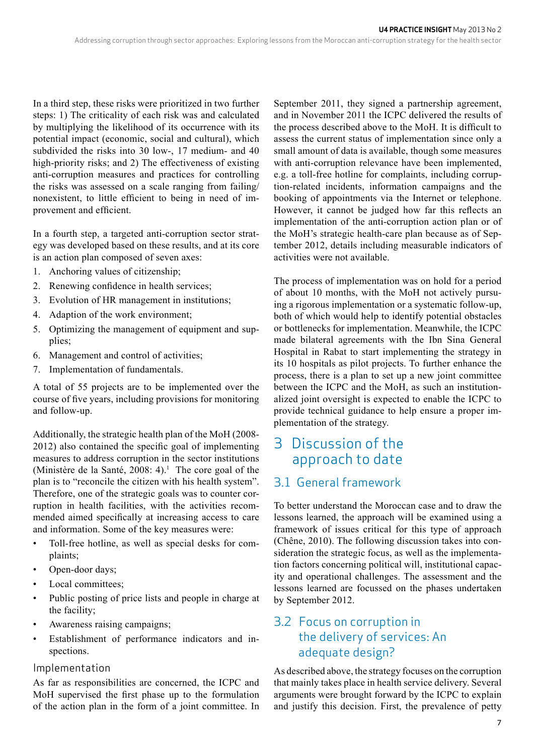In a third step, these risks were prioritized in two further steps: 1) The criticality of each risk was and calculated by multiplying the likelihood of its occurrence with its potential impact (economic, social and cultural), which subdivided the risks into 30 low-, 17 medium- and 40 high-priority risks; and 2) The effectiveness of existing anti-corruption measures and practices for controlling the risks was assessed on a scale ranging from failing/ nonexistent, to little efficient to being in need of improvement and efficient.

In a fourth step, a targeted anti-corruption sector strategy was developed based on these results, and at its core is an action plan composed of seven axes:

- 1. Anchoring values of citizenship;
- 2. Renewing confidence in health services;
- 3. Evolution of HR management in institutions;
- 4. Adaption of the work environment;
- 5. Optimizing the management of equipment and supplies;
- 6. Management and control of activities;
- 7. Implementation of fundamentals.

A total of 55 projects are to be implemented over the course of five years, including provisions for monitoring and follow-up.

Additionally, the strategic health plan of the MoH (2008- 2012) also contained the specific goal of implementing measures to address corruption in the sector institutions (Ministère de la Santé, 2008: 4).<sup>1</sup> The core goal of the plan is to "reconcile the citizen with his health system". Therefore, one of the strategic goals was to counter corruption in health facilities, with the activities recommended aimed specifically at increasing access to care and information. Some of the key measures were:

- Toll-free hotline, as well as special desks for complaints;
- Open-door days;
- Local committees;
- Public posting of price lists and people in charge at the facility;
- Awareness raising campaigns;
- Establishment of performance indicators and inspections.

#### Implementation

As far as responsibilities are concerned, the ICPC and MoH supervised the first phase up to the formulation of the action plan in the form of a joint committee. In

September 2011, they signed a partnership agreement, and in November 2011 the ICPC delivered the results of the process described above to the MoH. It is difficult to assess the current status of implementation since only a small amount of data is available, though some measures with anti-corruption relevance have been implemented, e.g. a toll-free hotline for complaints, including corruption-related incidents, information campaigns and the booking of appointments via the Internet or telephone. However, it cannot be judged how far this reflects an implementation of the anti-corruption action plan or of the MoH's strategic health-care plan because as of September 2012, details including measurable indicators of activities were not available.

The process of implementation was on hold for a period of about 10 months, with the MoH not actively pursuing a rigorous implementation or a systematic follow-up, both of which would help to identify potential obstacles or bottlenecks for implementation. Meanwhile, the ICPC made bilateral agreements with the Ibn Sina General Hospital in Rabat to start implementing the strategy in its 10 hospitals as pilot projects. To further enhance the process, there is a plan to set up a new joint committee between the ICPC and the MoH, as such an institutionalized joint oversight is expected to enable the ICPC to provide technical guidance to help ensure a proper implementation of the strategy.

## 3 Discussion of the approach to date

#### 3.1 General framework

To better understand the Moroccan case and to draw the lessons learned, the approach will be examined using a framework of issues critical for this type of approach (Chêne, 2010). The following discussion takes into consideration the strategic focus, as well as the implementation factors concerning political will, institutional capacity and operational challenges. The assessment and the lessons learned are focussed on the phases undertaken by September 2012.

#### 3.2 Focus on corruption in the delivery of services: An adequate design?

As described above, the strategy focuses on the corruption that mainly takes place in health service delivery. Several arguments were brought forward by the ICPC to explain and justify this decision. First, the prevalence of petty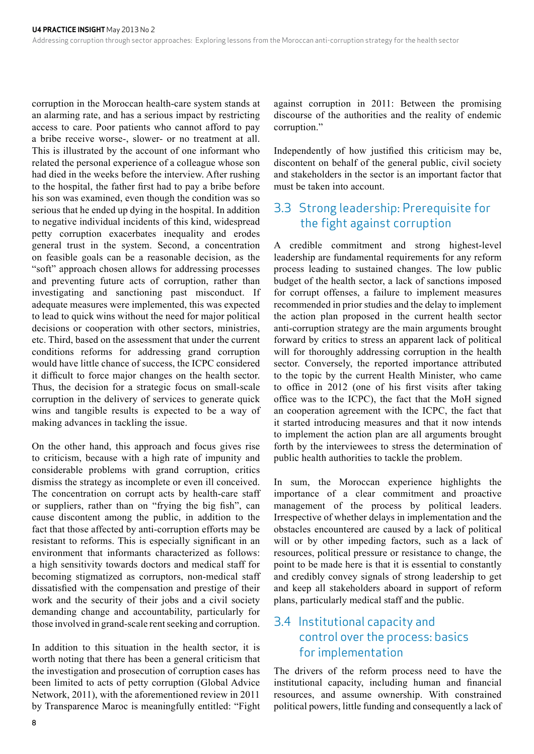corruption in the Moroccan health-care system stands at an alarming rate, and has a serious impact by restricting access to care. Poor patients who cannot afford to pay a bribe receive worse-, slower- or no treatment at all. This is illustrated by the account of one informant who related the personal experience of a colleague whose son had died in the weeks before the interview. After rushing to the hospital, the father first had to pay a bribe before his son was examined, even though the condition was so serious that he ended up dying in the hospital. In addition to negative individual incidents of this kind, widespread petty corruption exacerbates inequality and erodes general trust in the system. Second, a concentration on feasible goals can be a reasonable decision, as the "soft" approach chosen allows for addressing processes and preventing future acts of corruption, rather than investigating and sanctioning past misconduct. If adequate measures were implemented, this was expected to lead to quick wins without the need for major political decisions or cooperation with other sectors, ministries, etc. Third, based on the assessment that under the current conditions reforms for addressing grand corruption would have little chance of success, the ICPC considered it difficult to force major changes on the health sector. Thus, the decision for a strategic focus on small-scale corruption in the delivery of services to generate quick wins and tangible results is expected to be a way of making advances in tackling the issue.

On the other hand, this approach and focus gives rise to criticism, because with a high rate of impunity and considerable problems with grand corruption, critics dismiss the strategy as incomplete or even ill conceived. The concentration on corrupt acts by health-care staff or suppliers, rather than on "frying the big fish", can cause discontent among the public, in addition to the fact that those affected by anti-corruption efforts may be resistant to reforms. This is especially significant in an environment that informants characterized as follows: a high sensitivity towards doctors and medical staff for becoming stigmatized as corruptors, non-medical staff dissatisfied with the compensation and prestige of their work and the security of their jobs and a civil society demanding change and accountability, particularly for those involved in grand-scale rent seeking and corruption.

In addition to this situation in the health sector, it is worth noting that there has been a general criticism that the investigation and prosecution of corruption cases has been limited to acts of petty corruption (Global Advice Network, 2011), with the aforementioned review in 2011 by Transparence Maroc is meaningfully entitled: "Fight against corruption in 2011: Between the promising discourse of the authorities and the reality of endemic corruption."

Independently of how justified this criticism may be, discontent on behalf of the general public, civil society and stakeholders in the sector is an important factor that must be taken into account.

## 3.3 Strong leadership: Prerequisite for the fight against corruption

A credible commitment and strong highest-level leadership are fundamental requirements for any reform process leading to sustained changes. The low public budget of the health sector, a lack of sanctions imposed for corrupt offenses, a failure to implement measures recommended in prior studies and the delay to implement the action plan proposed in the current health sector anti-corruption strategy are the main arguments brought forward by critics to stress an apparent lack of political will for thoroughly addressing corruption in the health sector. Conversely, the reported importance attributed to the topic by the current Health Minister, who came to office in 2012 (one of his first visits after taking office was to the ICPC), the fact that the MoH signed an cooperation agreement with the ICPC, the fact that it started introducing measures and that it now intends to implement the action plan are all arguments brought forth by the interviewees to stress the determination of public health authorities to tackle the problem.

In sum, the Moroccan experience highlights the importance of a clear commitment and proactive management of the process by political leaders. Irrespective of whether delays in implementation and the obstacles encountered are caused by a lack of political will or by other impeding factors, such as a lack of resources, political pressure or resistance to change, the point to be made here is that it is essential to constantly and credibly convey signals of strong leadership to get and keep all stakeholders aboard in support of reform plans, particularly medical staff and the public.

#### 3.4 Institutional capacity and control over the process: basics for implementation

The drivers of the reform process need to have the institutional capacity, including human and financial resources, and assume ownership. With constrained political powers, little funding and consequently a lack of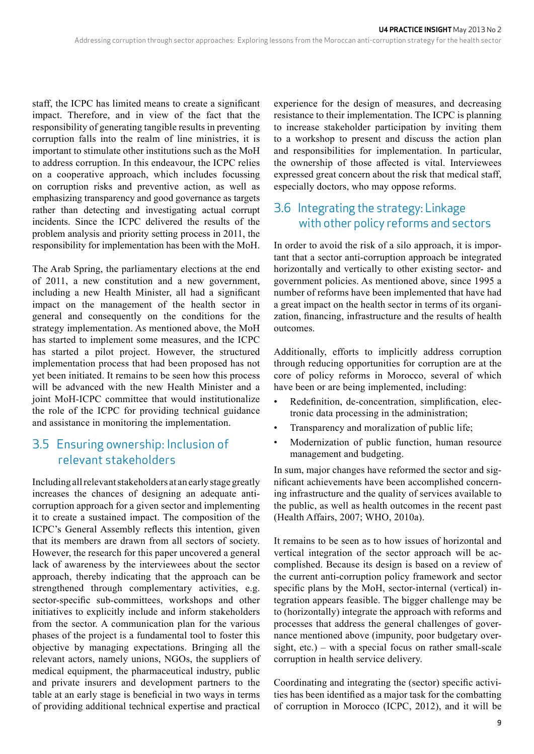staff, the ICPC has limited means to create a significant impact. Therefore, and in view of the fact that the responsibility of generating tangible results in preventing corruption falls into the realm of line ministries, it is important to stimulate other institutions such as the MoH to address corruption. In this endeavour, the ICPC relies on a cooperative approach, which includes focussing on corruption risks and preventive action, as well as emphasizing transparency and good governance as targets rather than detecting and investigating actual corrupt incidents. Since the ICPC delivered the results of the problem analysis and priority setting process in 2011, the responsibility for implementation has been with the MoH.

The Arab Spring, the parliamentary elections at the end of 2011, a new constitution and a new government, including a new Health Minister, all had a significant impact on the management of the health sector in general and consequently on the conditions for the strategy implementation. As mentioned above, the MoH has started to implement some measures, and the ICPC has started a pilot project. However, the structured implementation process that had been proposed has not yet been initiated. It remains to be seen how this process will be advanced with the new Health Minister and a joint MoH-ICPC committee that would institutionalize the role of the ICPC for providing technical guidance and assistance in monitoring the implementation.

## 3.5 Ensuring ownership: Inclusion of relevant stakeholders

Including all relevant stakeholders at an early stage greatly increases the chances of designing an adequate anticorruption approach for a given sector and implementing it to create a sustained impact. The composition of the ICPC's General Assembly reflects this intention, given that its members are drawn from all sectors of society. However, the research for this paper uncovered a general lack of awareness by the interviewees about the sector approach, thereby indicating that the approach can be strengthened through complementary activities, e.g. sector-specific sub-committees, workshops and other initiatives to explicitly include and inform stakeholders from the sector. A communication plan for the various phases of the project is a fundamental tool to foster this objective by managing expectations. Bringing all the relevant actors, namely unions, NGOs, the suppliers of medical equipment, the pharmaceutical industry, public and private insurers and development partners to the table at an early stage is beneficial in two ways in terms of providing additional technical expertise and practical experience for the design of measures, and decreasing resistance to their implementation. The ICPC is planning to increase stakeholder participation by inviting them to a workshop to present and discuss the action plan and responsibilities for implementation. In particular, the ownership of those affected is vital. Interviewees expressed great concern about the risk that medical staff, especially doctors, who may oppose reforms.

## 3.6 Integrating the strategy: Linkage with other policy reforms and sectors

In order to avoid the risk of a silo approach, it is important that a sector anti-corruption approach be integrated horizontally and vertically to other existing sector- and government policies. As mentioned above, since 1995 a number of reforms have been implemented that have had a great impact on the health sector in terms of its organization, financing, infrastructure and the results of health outcomes.

Additionally, efforts to implicitly address corruption through reducing opportunities for corruption are at the core of policy reforms in Morocco, several of which have been or are being implemented, including:

- Redefinition, de-concentration, simplification, electronic data processing in the administration;
- Transparency and moralization of public life;
- Modernization of public function, human resource management and budgeting.

In sum, major changes have reformed the sector and significant achievements have been accomplished concerning infrastructure and the quality of services available to the public, as well as health outcomes in the recent past (Health Affairs, 2007; WHO, 2010a).

It remains to be seen as to how issues of horizontal and vertical integration of the sector approach will be accomplished. Because its design is based on a review of the current anti-corruption policy framework and sector specific plans by the MoH, sector-internal (vertical) integration appears feasible. The bigger challenge may be to (horizontally) integrate the approach with reforms and processes that address the general challenges of governance mentioned above (impunity, poor budgetary oversight, etc.) – with a special focus on rather small-scale corruption in health service delivery.

Coordinating and integrating the (sector) specific activities has been identified as a major task for the combatting of corruption in Morocco (ICPC, 2012), and it will be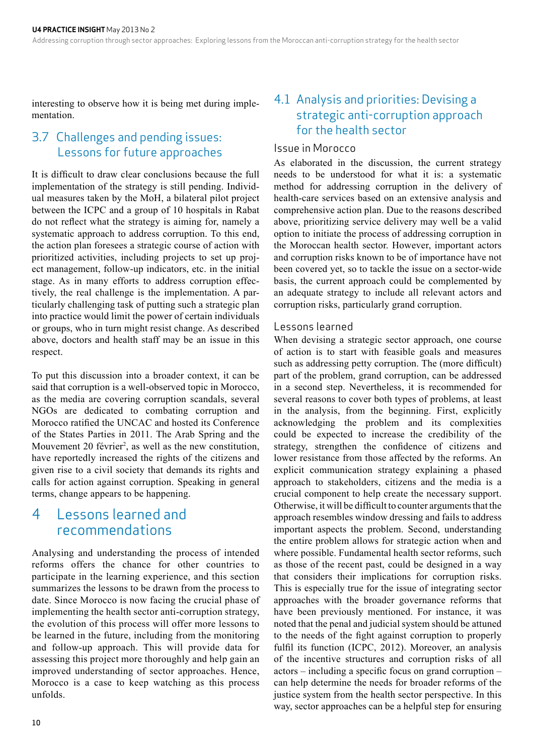interesting to observe how it is being met during implementation.

## 3.7 Challenges and pending issues: Lessons for future approaches

It is difficult to draw clear conclusions because the full implementation of the strategy is still pending. Individual measures taken by the MoH, a bilateral pilot project between the ICPC and a group of 10 hospitals in Rabat do not reflect what the strategy is aiming for, namely a systematic approach to address corruption. To this end, the action plan foresees a strategic course of action with prioritized activities, including projects to set up project management, follow-up indicators, etc. in the initial stage. As in many efforts to address corruption effectively, the real challenge is the implementation. A particularly challenging task of putting such a strategic plan into practice would limit the power of certain individuals or groups, who in turn might resist change. As described above, doctors and health staff may be an issue in this respect.

To put this discussion into a broader context, it can be said that corruption is a well-observed topic in Morocco, as the media are covering corruption scandals, several NGOs are dedicated to combating corruption and Morocco ratified the UNCAC and hosted its Conference of the States Parties in 2011. The Arab Spring and the Mouvement 20 février<sup>2</sup>, as well as the new constitution, have reportedly increased the rights of the citizens and given rise to a civil society that demands its rights and calls for action against corruption. Speaking in general terms, change appears to be happening.

## 4 Lessons learned and recommendations

Analysing and understanding the process of intended reforms offers the chance for other countries to participate in the learning experience, and this section summarizes the lessons to be drawn from the process to date. Since Morocco is now facing the crucial phase of implementing the health sector anti-corruption strategy, the evolution of this process will offer more lessons to be learned in the future, including from the monitoring and follow-up approach. This will provide data for assessing this project more thoroughly and help gain an improved understanding of sector approaches. Hence, Morocco is a case to keep watching as this process unfolds.

## 4.1 Analysis and priorities: Devising a strategic anti-corruption approach for the health sector

#### Issue in Morocco

As elaborated in the discussion, the current strategy needs to be understood for what it is: a systematic method for addressing corruption in the delivery of health-care services based on an extensive analysis and comprehensive action plan. Due to the reasons described above, prioritizing service delivery may well be a valid option to initiate the process of addressing corruption in the Moroccan health sector. However, important actors and corruption risks known to be of importance have not been covered yet, so to tackle the issue on a sector-wide basis, the current approach could be complemented by an adequate strategy to include all relevant actors and corruption risks, particularly grand corruption.

#### Lessons learned

When devising a strategic sector approach, one course of action is to start with feasible goals and measures such as addressing petty corruption. The (more difficult) part of the problem, grand corruption, can be addressed in a second step. Nevertheless, it is recommended for several reasons to cover both types of problems, at least in the analysis, from the beginning. First, explicitly acknowledging the problem and its complexities could be expected to increase the credibility of the strategy, strengthen the confidence of citizens and lower resistance from those affected by the reforms. An explicit communication strategy explaining a phased approach to stakeholders, citizens and the media is a crucial component to help create the necessary support. Otherwise, it will be difficult to counter arguments that the approach resembles window dressing and fails to address important aspects the problem. Second, understanding the entire problem allows for strategic action when and where possible. Fundamental health sector reforms, such as those of the recent past, could be designed in a way that considers their implications for corruption risks. This is especially true for the issue of integrating sector approaches with the broader governance reforms that have been previously mentioned. For instance, it was noted that the penal and judicial system should be attuned to the needs of the fight against corruption to properly fulfil its function (ICPC, 2012). Moreover, an analysis of the incentive structures and corruption risks of all actors – including a specific focus on grand corruption – can help determine the needs for broader reforms of the justice system from the health sector perspective. In this way, sector approaches can be a helpful step for ensuring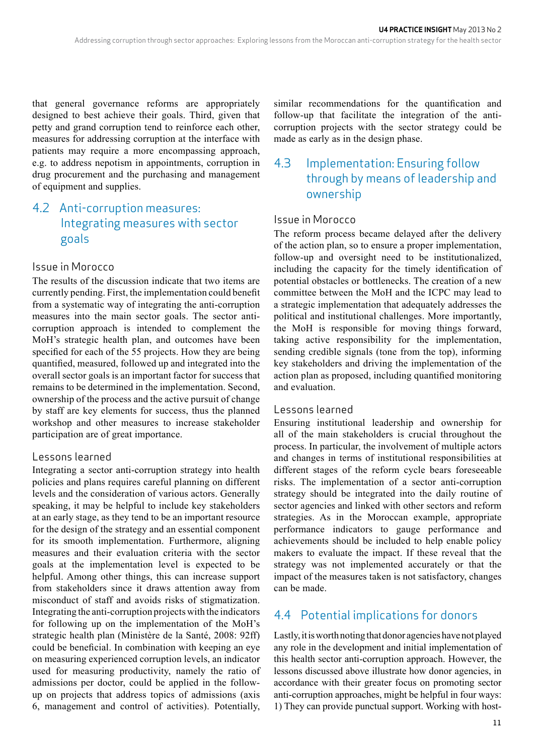that general governance reforms are appropriately designed to best achieve their goals. Third, given that petty and grand corruption tend to reinforce each other, measures for addressing corruption at the interface with patients may require a more encompassing approach, e.g. to address nepotism in appointments, corruption in drug procurement and the purchasing and management of equipment and supplies.

## 4.2 Anti-corruption measures: Integrating measures with sector goals

#### Issue in Morocco

The results of the discussion indicate that two items are currently pending. First, the implementation could benefit from a systematic way of integrating the anti-corruption measures into the main sector goals. The sector anticorruption approach is intended to complement the MoH's strategic health plan, and outcomes have been specified for each of the 55 projects. How they are being quantified, measured, followed up and integrated into the overall sector goals is an important factor for success that remains to be determined in the implementation. Second, ownership of the process and the active pursuit of change by staff are key elements for success, thus the planned workshop and other measures to increase stakeholder participation are of great importance.

#### Lessons learned

Integrating a sector anti-corruption strategy into health policies and plans requires careful planning on different levels and the consideration of various actors. Generally speaking, it may be helpful to include key stakeholders at an early stage, as they tend to be an important resource for the design of the strategy and an essential component for its smooth implementation. Furthermore, aligning measures and their evaluation criteria with the sector goals at the implementation level is expected to be helpful. Among other things, this can increase support from stakeholders since it draws attention away from misconduct of staff and avoids risks of stigmatization. Integrating the anti-corruption projects with the indicators for following up on the implementation of the MoH's strategic health plan (Ministère de la Santé, 2008: 92ff) could be beneficial. In combination with keeping an eye on measuring experienced corruption levels, an indicator used for measuring productivity, namely the ratio of admissions per doctor, could be applied in the followup on projects that address topics of admissions (axis 6, management and control of activities). Potentially, similar recommendations for the quantification and follow-up that facilitate the integration of the anticorruption projects with the sector strategy could be made as early as in the design phase.

## 4.3 Implementation: Ensuring follow through by means of leadership and ownership

#### Issue in Morocco

The reform process became delayed after the delivery of the action plan, so to ensure a proper implementation, follow-up and oversight need to be institutionalized, including the capacity for the timely identification of potential obstacles or bottlenecks. The creation of a new committee between the MoH and the ICPC may lead to a strategic implementation that adequately addresses the political and institutional challenges. More importantly, the MoH is responsible for moving things forward, taking active responsibility for the implementation, sending credible signals (tone from the top), informing key stakeholders and driving the implementation of the action plan as proposed, including quantified monitoring and evaluation.

#### Lessons learned

Ensuring institutional leadership and ownership for all of the main stakeholders is crucial throughout the process. In particular, the involvement of multiple actors and changes in terms of institutional responsibilities at different stages of the reform cycle bears foreseeable risks. The implementation of a sector anti-corruption strategy should be integrated into the daily routine of sector agencies and linked with other sectors and reform strategies. As in the Moroccan example, appropriate performance indicators to gauge performance and achievements should be included to help enable policy makers to evaluate the impact. If these reveal that the strategy was not implemented accurately or that the impact of the measures taken is not satisfactory, changes can be made.

#### 4.4 Potential implications for donors

Lastly, it is worth noting that donor agencies have not played any role in the development and initial implementation of this health sector anti-corruption approach. However, the lessons discussed above illustrate how donor agencies, in accordance with their greater focus on promoting sector anti-corruption approaches, might be helpful in four ways: 1) They can provide punctual support. Working with host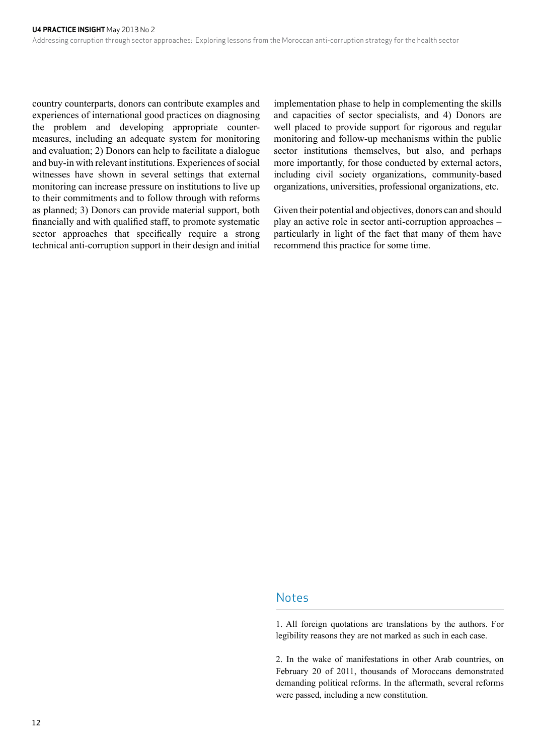country counterparts, donors can contribute examples and experiences of international good practices on diagnosing the problem and developing appropriate countermeasures, including an adequate system for monitoring and evaluation; 2) Donors can help to facilitate a dialogue and buy-in with relevant institutions. Experiences of social witnesses have shown in several settings that external monitoring can increase pressure on institutions to live up to their commitments and to follow through with reforms as planned; 3) Donors can provide material support, both financially and with qualified staff, to promote systematic sector approaches that specifically require a strong technical anti-corruption support in their design and initial implementation phase to help in complementing the skills and capacities of sector specialists, and 4) Donors are well placed to provide support for rigorous and regular monitoring and follow-up mechanisms within the public sector institutions themselves, but also, and perhaps more importantly, for those conducted by external actors, including civil society organizations, community-based organizations, universities, professional organizations, etc.

Given their potential and objectives, donors can and should play an active role in sector anti-corruption approaches – particularly in light of the fact that many of them have recommend this practice for some time.

#### **Notes**

1. All foreign quotations are translations by the authors. For legibility reasons they are not marked as such in each case.

2. In the wake of manifestations in other Arab countries, on February 20 of 2011, thousands of Moroccans demonstrated demanding political reforms. In the aftermath, several reforms were passed, including a new constitution.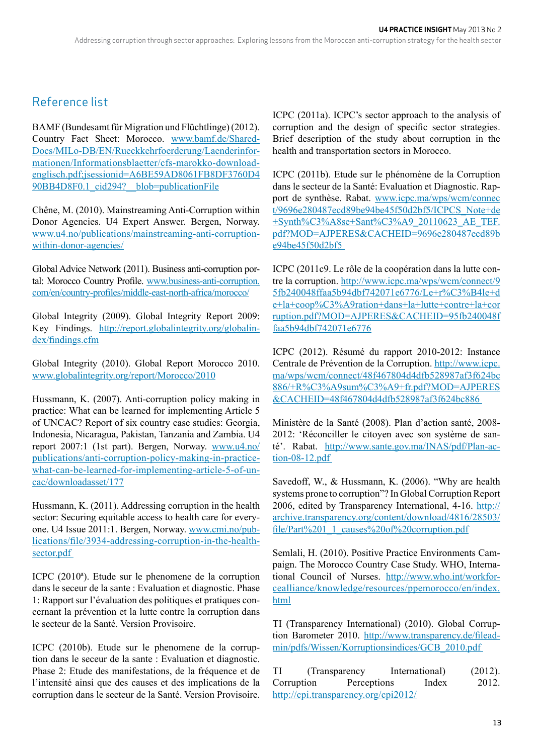## Reference list

BAMF (Bundesamt für Migration und Flüchtlinge) (2012). Country Fact Sheet: Morocco. www.bamf.de/Shared-Docs/MILo-DB/EN/Rueckkehrfoerderung/Laenderinformationen/Informationsblaetter/cfs-marokko-downloadenglisch.pdf;jsessionid=A6BE59AD8061FB8DF3760D4 90BB4D8F0.1\_cid294?\_blob=publicationFile

Chêne, M. (2010). Mainstreaming Anti-Corruption within Donor Agencies. U4 Expert Answer. Bergen, Norway. www.u4.no/publications/mainstreaming-anti-corruptionwithin-donor-agencies/

Global Advice Network (2011). Business anti-corruption portal: Morocco Country Profile. www.business-anti-corruption. com/en/country-profiles/middle-east-north-africa/morocco/

Global Integrity (2009). Global Integrity Report 2009: Key Findings. http://report.globalintegrity.org/globalindex/findings.cfm

Global Integrity (2010). Global Report Morocco 2010. www.globalintegrity.org/report/Morocco/2010

Hussmann, K. (2007). Anti-corruption policy making in practice: What can be learned for implementing Article 5 of UNCAC? Report of six country case studies: Georgia, Indonesia, Nicaragua, Pakistan, Tanzania and Zambia. U4 report 2007:1 (1st part). Bergen, Norway. www.u4.no/ publications/anti-corruption-policy-making-in-practicewhat-can-be-learned-for-implementing-article-5-of-uncac/downloadasset/177

Hussmann, K. (2011). Addressing corruption in the health sector: Securing equitable access to health care for everyone. U4 Issue 2011:1. Bergen, Norway. www.cmi.no/publications/file/3934-addressing-corruption-in-the-healthsector.pdf

ICPC (2010ª). Etude sur le phenomene de la corruption dans le seceur de la sante : Evaluation et diagnostic. Phase 1: Rapport sur l'évaluation des politiques et pratiques concernant la prévention et la lutte contre la corruption dans le secteur de la Santé. Version Provisoire.

ICPC (2010b). Etude sur le phenomene de la corruption dans le seceur de la sante : Evaluation et diagnostic. Phase 2: Etude des manifestations, de la fréquence et de l'intensité ainsi que des causes et des implications de la corruption dans le secteur de la Santé. Version Provisoire.

ICPC (2011a). ICPC's sector approach to the analysis of corruption and the design of specific sector strategies. Brief description of the study about corruption in the health and transportation sectors in Morocco.

ICPC (2011b). Etude sur le phénomène de la Corruption dans le secteur de la Santé: Evaluation et Diagnostic. Rapport de synthèse. Rabat. www.icpc.ma/wps/wcm/connec t/9696e280487ecd89be94be45f50d2bf5/ICPCS\_Note+de +Synth%C3%A8se+Sant%C3%A9\_20110623\_AE\_TEF. pdf?MOD=AJPERES&CACHEID=9696e280487ecd89b e94be45f50d2bf5

ICPC (2011c9. Le rôle de la coopération dans la lutte contre la corruption. http://www.icpc.ma/wps/wcm/connect/9 5fb240048ffaa5b94dbf742071e6776/Le+r%C3%B4le+d e+la+coop%C3%A9ration+dans+la+lutte+contre+la+cor ruption.pdf?MOD=AJPERES&CACHEID=95fb240048f faa5b94dbf742071e6776

ICPC (2012). Résumé du rapport 2010-2012: Instance Centrale de Prévention de la Corruption. http://www.icpc. ma/wps/wcm/connect/48f467804d4dfb528987af3f624bc 886/+R%C3%A9sum%C3%A9+fr.pdf?MOD=AJPERES &CACHEID=48f467804d4dfb528987af3f624bc886

Ministère de la Santé (2008). Plan d'action santé, 2008- 2012: 'Réconciller le citoyen avec son système de santé'. Rabat. http://www.sante.gov.ma/INAS/pdf/Plan-action-08-12.pdf

Savedoff, W., & Hussmann, K. (2006). "Why are health systems prone to corruption"? In Global Corruption Report 2006, edited by Transparency International, 4-16. http:// archive.transparency.org/content/download/4816/28503/ file/Part%201\_1\_causes%20of%20corruption.pdf

Semlali, H. (2010). Positive Practice Environments Campaign. The Morocco Country Case Study. WHO, International Council of Nurses. http://www.who.int/workforcealliance/knowledge/resources/ppemorocco/en/index. html

TI (Transparency International) (2010). Global Corruption Barometer 2010. http://www.transparency.de/fileadmin/pdfs/Wissen/Korruptionsindices/GCB\_2010.pdf

TI (Transparency International) (2012). Corruption Perceptions Index 2012. http://cpi.transparency.org/cpi2012/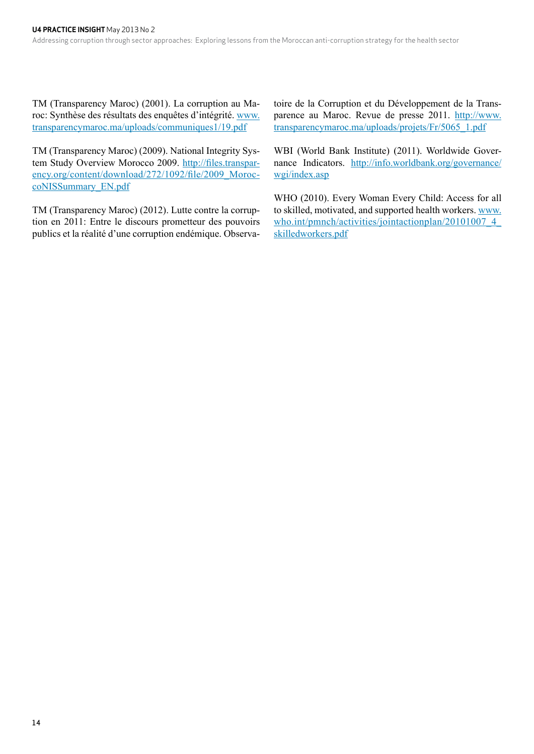TM (Transparency Maroc) (2001). La corruption au Maroc: Synthèse des résultats des enquêtes d'intégrité. www. transparencymaroc.ma/uploads/communiques1/19.pdf

TM (Transparency Maroc) (2009). National Integrity System Study Overview Morocco 2009. http://files.transparency.org/content/download/272/1092/file/2009\_MoroccoNISSummary\_EN.pdf

TM (Transparency Maroc) (2012). Lutte contre la corruption en 2011: Entre le discours prometteur des pouvoirs publics et la réalité d'une corruption endémique. Observatoire de la Corruption et du Développement de la Transparence au Maroc. Revue de presse 2011. http://www. transparencymaroc.ma/uploads/projets/Fr/5065\_1.pdf

WBI (World Bank Institute) (2011). Worldwide Governance Indicators. http://info.worldbank.org/governance/ wgi/index.asp

WHO (2010). Every Woman Every Child: Access for all to skilled, motivated, and supported health workers. www. who.int/pmnch/activities/jointactionplan/20101007\_4\_ skilledworkers.pdf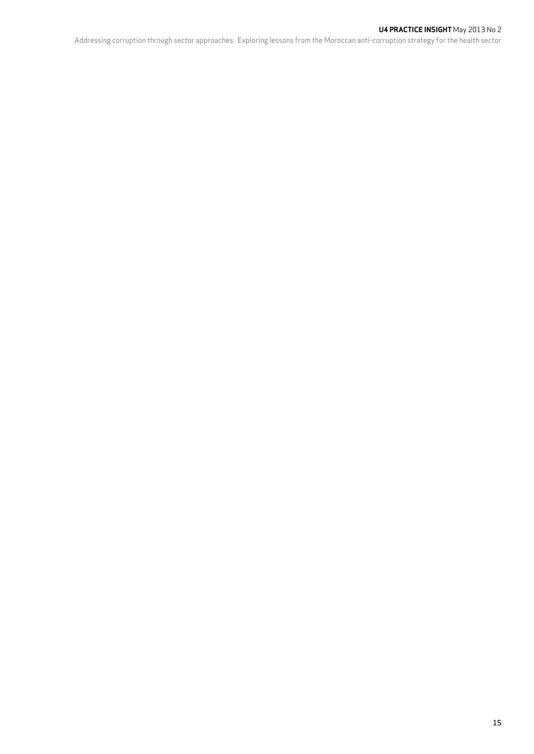#### **U4 Practice insight** May 2013 No 2

Addressing corruption through sector approaches: Exploring lessons from the Moroccan anti-corruption strategy for the health sector